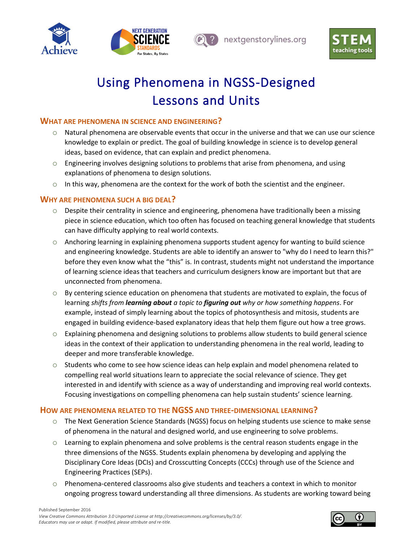



nextgenstorylines.org



# Using Phenomena in NGSS-Designed Lessons and Units

# **WHAT ARE PHENOMENA IN SCIENCE AND ENGINEERING?**

- o Natural phenomena are observable events that occur in the universe and that we can use our science knowledge to explain or predict. The goal of building knowledge in science is to develop general ideas, based on evidence, that can explain and predict phenomena.
- $\circ$  Engineering involves designing solutions to problems that arise from phenomena, and using explanations of phenomena to design solutions.
- $\circ$  In this way, phenomena are the context for the work of both the scientist and the engineer.

# **WHY ARE PHENOMENA SUCH A BIG DEAL?**

- o Despite their centrality in science and engineering, phenomena have traditionally been a missing piece in science education, which too often has focused on teaching general knowledge that students can have difficulty applying to real world contexts.
- $\circ$  Anchoring learning in explaining phenomena supports student agency for wanting to build science and engineering knowledge. Students are able to identify an answer to "why do I need to learn this?" before they even know what the "this" is. In contrast, students might not understand the importance of learning science ideas that teachers and curriculum designers know are important but that are unconnected from phenomena.
- $\circ$  By centering science education on phenomena that students are motivated to explain, the focus of learning *shifts from learning about a topic to figuring out why or how something happens*. For example, instead of simply learning about the topics of photosynthesis and mitosis, students are engaged in building evidence-based explanatory ideas that help them figure out how a tree grows.
- $\circ$  Explaining phenomena and designing solutions to problems allow students to build general science ideas in the context of their application to understanding phenomena in the real world, leading to deeper and more transferable knowledge.
- $\circ$  Students who come to see how science ideas can help explain and model phenomena related to compelling real world situations learn to appreciate the social relevance of science. They get interested in and identify with science as a way of understanding and improving real world contexts. Focusing investigations on compelling phenomena can help sustain students' science learning.

### **HOW ARE PHENOMENA RELATED TO THE NGSS AND THREE-DIMENSIONAL LEARNING?**

- o The Next Generation Science Standards (NGSS) focus on helping students use science to make sense of phenomena in the natural and designed world, and use engineering to solve problems.
- $\circ$  Learning to explain phenomena and solve problems is the central reason students engage in the three dimensions of the NGSS. Students explain phenomena by developing and applying the Disciplinary Core Ideas (DCIs) and Crosscutting Concepts (CCCs) through use of the Science and Engineering Practices (SEPs).
- Phenomena-centered classrooms also give students and teachers a context in which to monitor ongoing progress toward understanding all three dimensions. As students are working toward being

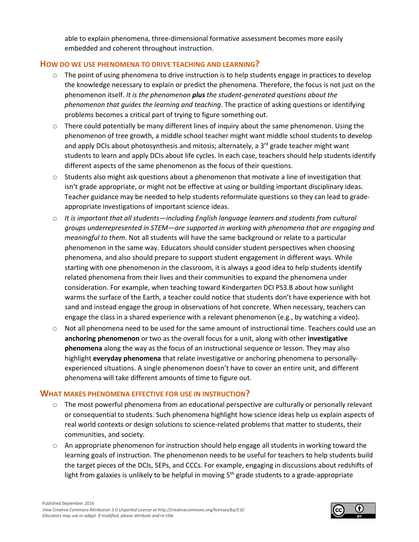able to explain phenomena, three-dimensional formative assessment becomes more easily embedded and coherent throughout instruction.

### **HOW DO WE USE PHENOMENA TO DRIVE TEACHING AND LEARNING?**

- o The point of using phenomena to drive instruction is to help students engage in practices to develop the knowledge necessary to explain or predict the phenomena. Therefore, the focus is not just on the phenomenon itself. *It is the phenomenon plus the student-generated questions about the phenomenon that guides the learning and teaching*. The practice of asking questions or identifying problems becomes a critical part of trying to figure something out.
- $\circ$  There could potentially be many different lines of inquiry about the same phenomenon. Using the phenomenon of tree growth, a middle school teacher might want middle school students to develop and apply DCIs about photosynthesis and mitosis; alternately, a  $3<sup>rd</sup>$  grade teacher might want students to learn and apply DCIs about life cycles. In each case, teachers should help students identify different aspects of the same phenomenon as the focus of their questions.
- $\circ$  Students also might ask questions about a phenomenon that motivate a line of investigation that isn't grade appropriate, or might not be effective at using or building important disciplinary ideas. Teacher guidance may be needed to help students reformulate questions so they can lead to gradeappropriate investigations of important science ideas.
- o *It is important that all students—including English language learners and students from cultural groups underrepresented in STEM—are supported in working with phenomena that are engaging and meaningful to them*. Not all students will have the same background or relate to a particular phenomenon in the same way. Educators should consider student perspectives when choosing phenomena, and also should prepare to support student engagement in different ways. While starting with one phenomenon in the classroom, it is always a good idea to help students identify related phenomena from their lives and their communities to expand the phenomena under consideration. For example, when teaching toward Kindergarten DCI PS3.B about how sunlight warms the surface of the Earth, a teacher could notice that students don't have experience with hot sand and instead engage the group in observations of hot concrete. When necessary, teachers can engage the class in a shared experience with a relevant phenomenon (e.g., by watching a video).
- $\circ$  Not all phenomena need to be used for the same amount of instructional time. Teachers could use an **anchoring phenomenon** or two as the overall focus for a unit, along with other **investigative phenomena** along the way as the focus of an instructional sequence or lesson. They may also highlight **everyday phenomena** that relate investigative or anchoring phenomena to personallyexperienced situations. A single phenomenon doesn't have to cover an entire unit, and different phenomena will take different amounts of time to figure out.

#### **WHAT MAKES PHENOMENA EFFECTIVE FOR USE IN INSTRUCTION?**

- $\circ$  The most powerful phenomena from an educational perspective are culturally or personally relevant or consequential to students. Such phenomena highlight how science ideas help us explain aspects of real world contexts or design solutions to science-related problems that matter to students, their communities, and society.
- $\circ$  An appropriate phenomenon for instruction should help engage all students in working toward the learning goals of instruction. The phenomenon needs to be useful for teachers to help students build the target pieces of the DCIs, SEPs, and CCCs. For example, engaging in discussions about redshifts of light from galaxies is unlikely to be helpful in moving  $5<sup>th</sup>$  grade students to a grade-appropriate